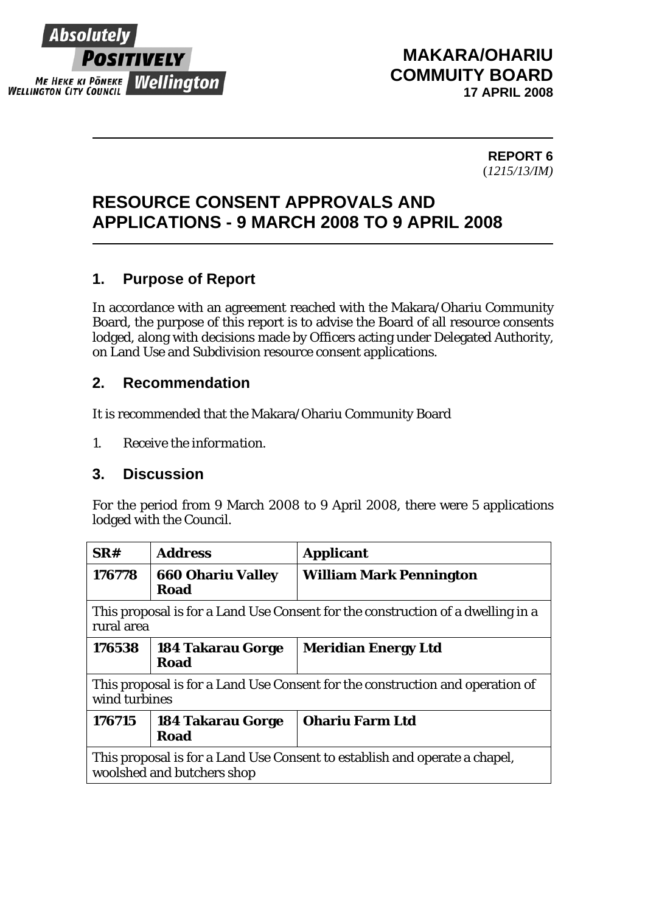

## **MAKARA/OHARIU COMMUITY BOARD 17 APRIL 2008**

#### **REPORT 6** (*1215/13/IM)*

# **RESOURCE CONSENT APPROVALS AND APPLICATIONS - 9 MARCH 2008 TO 9 APRIL 2008**

### **1. Purpose of Report**

In accordance with an agreement reached with the Makara/Ohariu Community Board, the purpose of this report is to advise the Board of all resource consents lodged, along with decisions made by Officers acting under Delegated Authority, on Land Use and Subdivision resource consent applications.

### **2. Recommendation**

It is recommended that the Makara/Ohariu Community Board

*1. Receive the information.* 

### **3. Discussion**

For the period from 9 March 2008 to 9 April 2008, there were 5 applications lodged with the Council.

| SR#                                                                                                      | <b>Address</b>                          | <b>Applicant</b>               |  |
|----------------------------------------------------------------------------------------------------------|-----------------------------------------|--------------------------------|--|
| 176778                                                                                                   | <b>660 Ohariu Valley</b><br>Road        | <b>William Mark Pennington</b> |  |
| This proposal is for a Land Use Consent for the construction of a dwelling in a<br>rural area            |                                         |                                |  |
| 176538                                                                                                   | <b>184 Takarau Gorge</b><br>Road        | <b>Meridian Energy Ltd</b>     |  |
| This proposal is for a Land Use Consent for the construction and operation of<br>wind turbines           |                                         |                                |  |
| 176715                                                                                                   | <b>184 Takarau Gorge</b><br><b>Road</b> | <b>Ohariu Farm Ltd</b>         |  |
| This proposal is for a Land Use Consent to establish and operate a chapel,<br>woolshed and butchers shop |                                         |                                |  |